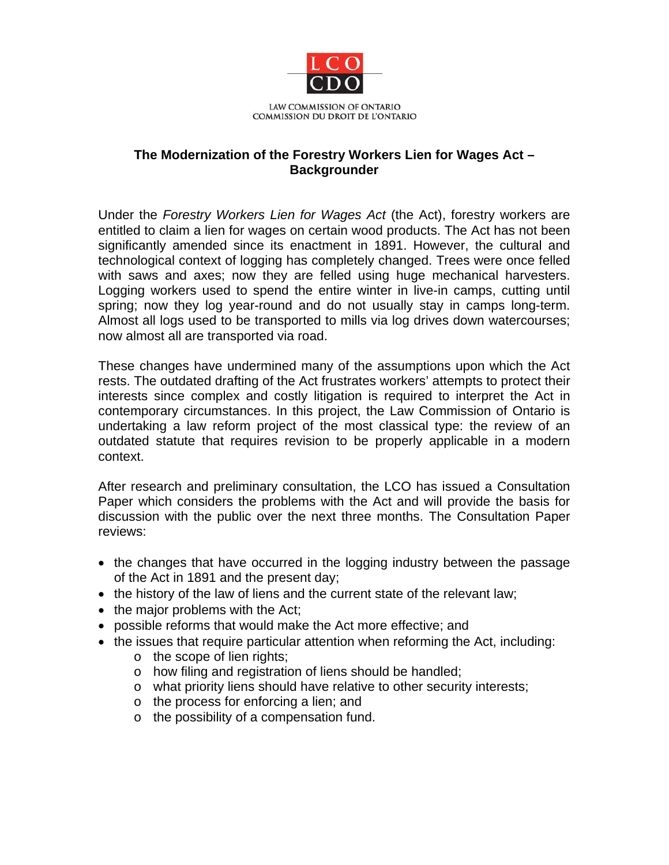

## **The Modernization of the Forestry Workers Lien for Wages Act – Backgrounder**

Under the *Forestry Workers Lien for Wages Act* (the Act), forestry workers are entitled to claim a lien for wages on certain wood products. The Act has not been significantly amended since its enactment in 1891. However, the cultural and technological context of logging has completely changed. Trees were once felled with saws and axes; now they are felled using huge mechanical harvesters. Logging workers used to spend the entire winter in live-in camps, cutting until spring; now they log year-round and do not usually stay in camps long-term. Almost all logs used to be transported to mills via log drives down watercourses; now almost all are transported via road.

These changes have undermined many of the assumptions upon which the Act rests. The outdated drafting of the Act frustrates workers' attempts to protect their interests since complex and costly litigation is required to interpret the Act in contemporary circumstances. In this project, the Law Commission of Ontario is undertaking a law reform project of the most classical type: the review of an outdated statute that requires revision to be properly applicable in a modern context.

After research and preliminary consultation, the LCO has issued a Consultation Paper which considers the problems with the Act and will provide the basis for discussion with the public over the next three months. The Consultation Paper reviews:

- the changes that have occurred in the logging industry between the passage of the Act in 1891 and the present day;
- the history of the law of liens and the current state of the relevant law;
- $\bullet$  the major problems with the Act;
- possible reforms that would make the Act more effective; and
- the issues that require particular attention when reforming the Act, including:
	- o the scope of lien rights;
	- o how filing and registration of liens should be handled;
	- o what priority liens should have relative to other security interests;
	- o the process for enforcing a lien; and
	- o the possibility of a compensation fund.